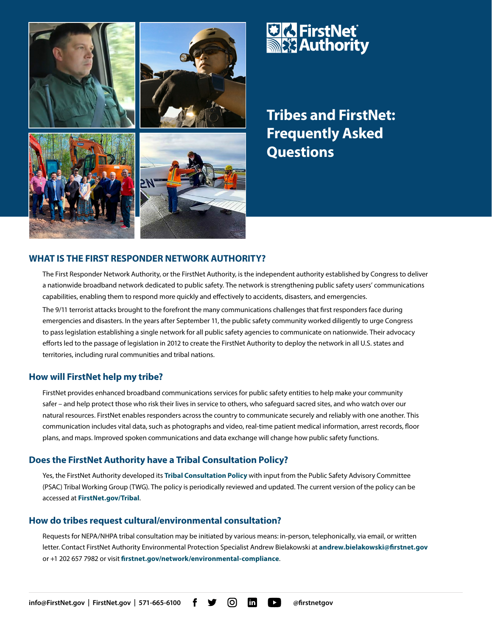

# **UIA FirstNet<br>MEX Authority**

**Tribes and FirstNet: Frequently Asked Questions**

## **WHAT IS THE FIRST RESPONDER NETWORK AUTHORITY?**

The First Responder Network Authority, or the FirstNet Authority, is the independent authority established by Congress to deliver a nationwide broadband network dedicated to public safety. The network is strengthening public safety users' communications capabilities, enabling them to respond more quickly and effectively to accidents, disasters, and emergencies. The 9/11 terrorist attacks brought to the forefront the many communications challenges that first responders face during emergencies and disasters. In the years after September 11, the public safety community worked diligently to urge Congress to pass legislation establishing a single network for all public safety agencies to communicate on nationwide. Their advocacy efforts led to the passage of legislation in 2012 to create the FirstNet Authority to deploy the network in all U.S. states and territories, including rural communities and tribal nations.

## **How will FirstNet help my tribe?**

FirstNet provides enhanced broadband communications services for public safety entities to help make your community safer – and help protect those who risk their lives in service to others, who safeguard sacred sites, and who watch over our natural resources. FirstNet enables responders across the country to communicate securely and reliably with one another. This communication includes vital data, such as photographs and video, real-time patient medical information, arrest records, floor plans, and maps. Improved spoken communications and data exchange will change how public safety functions.

## **Does the FirstNet Authority have a Tribal Consultation Policy?**

Yes, the FirstNet Authority developed its **[Tribal Consultation Policy](https://firstnet.gov/sites/default/files/PSAC Tribal Working Group Policy - Cleared with Comments_F.pdf)** with input from the Public Safety Advisory Committee (PSAC) Tribal Working Group (TWG). The policy is periodically reviewed and updated. The current version of the policy can be accessed at **[FirstNet.gov/Tribal](https://firstnet.gov/public-safety/firstnet-for/tribal-nations)**.

## **How do tribes request cultural/environmental consultation?**

Requests for NEPA/NHPA tribal consultation may be initiated by various means: in-person, telephonically, via email, or written letter. Contact FirstNet Authority Environmental Protection Specialist Andrew Bielakowski at **[andrew.bielakowski@firstnet.gov](mailto:andrew.bielakowski%40firstnet.gov?subject=)**  or +1 202 657 7982 or visit **[firstnet.gov/network/environmental-compliance](https://firstnet.gov/network/environmental-compliance)**.